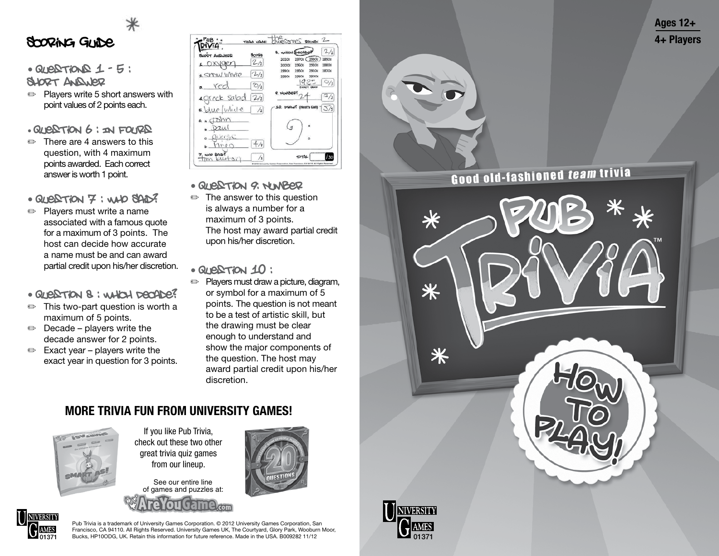

#### Scoring Guide

 $\cdot$  QUESTIONS  $1 - 5$ :

Short Answer

✏ Players write 5 short answers with point values of 2 points each.

 $\cdot$  QUESTION  $6$ : In FOURS

✏ There are 4 answers to this question, with 4 maximum points awarded. Each correct answer is worth 1 point.

• QUESTION 7 : WHO SAID?

- ✏ Players must write a name associated with a famous quote for a maximum of 3 points. The host can decide how accurate a name must be and can award partial credit upon his/her discretion.
- Question 8 : Which Decade?
- $\implies$  This two-part question is worth a maximum of 5 points.
- $\implies$  Decade players write the decade answer for 2 points.
- $\implies$  Exact year players write the exact year in question for 3 points.

| PUB                                                               | TEAM NAME:                 | JOSTOPS ROUND: 2                                                                                        |
|-------------------------------------------------------------------|----------------------------|---------------------------------------------------------------------------------------------------------|
| <b>BUORT AND JERD</b><br>XVaer                                    | Scoue<br>2/2               | 2/2<br>8. which becab<br>29306<br>1890s<br>2010s<br>1970s<br>19605<br>19205<br>20006<br>18803           |
| 2 Show White<br>red                                               | $2-12$<br>$\mathcal{O}/_2$ | 1910s<br>1870s<br>1950s<br>1990s<br><b>1900s</b><br>1980s<br>1990s<br>$\bigcirc/3$<br><b>EVONT HADD</b> |
| 4. greek salad<br>6. Que / while                                  | 2/2<br>$\sqrt{2}$          | 9. NUMBERT<br>$\frac{1}{3}$<br>10. DRAWY (Host's Call)<br>$\mathcal{S}/\mathsf{s}$                      |
| T <sub>D</sub> h <sub>n</sub><br>6. a<br>Dau(<br>$C \times C_1 C$ |                            | $\sim$                                                                                                  |
| <b>DAID?</b><br><b>WILL</b><br>$\sim$                             | 4/4                        | 130<br><b>COTAL</b>                                                                                     |

- Question 9: Number
- ✏ The answer to this question is always a number for a maximum of 3 points. The host may award partial credit upon his/her discretion.

• Question 10 :

✏ Players must draw a picture, diagram, or symbol for a maximum of 5 points. The question is not meant to be a test of artistic skill, but the drawing must be clear enough to understand and show the major components of the question. The host may award partial credit upon his/her discretion.

### MORE TRIVIA FUN FROM UNIVERSITY GAMES!



If you like Pub Trivia, check out these two other great trivia quiz games from our lineup.

See our entire line of games and puzzles at:



Pub Trivia is a trademark of University Games Corporation. © 2012 University Games Corporation, San Francisco, CA 94110. All Rights Reserved. University Games UK, The Courtyard, Glory Park, Wooburn Moor, Bucks, HP10ODG, UK. Retain this information for future reference. Made in the USA. B009282 11/12